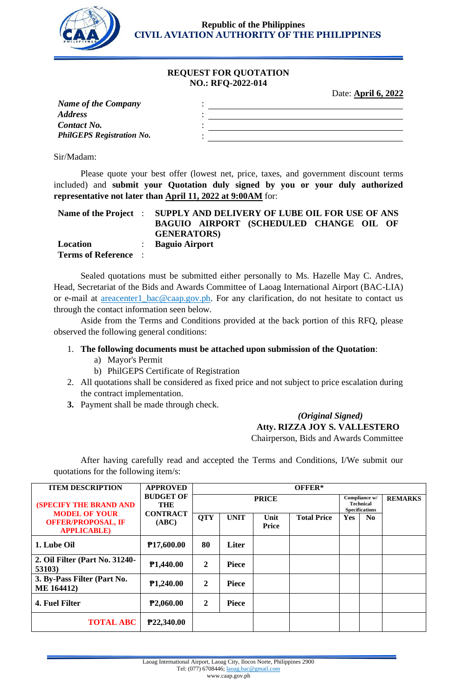

**Republic of the Philippines CIVIL AVIATION AUTHORITY OF THE PHILIPPINES**

### **REQUEST FOR QUOTATION NO.: RFQ-2022-014**

Date: **April 6, 2022**

| <b>Name of the Company</b>       |  |
|----------------------------------|--|
| <b>Address</b>                   |  |
| <b>Contact No.</b>               |  |
| <b>PhilGEPS Registration No.</b> |  |
|                                  |  |

Sir/Madam:

Please quote your best offer (lowest net, price, taxes, and government discount terms included) and **submit your Quotation duly signed by you or your duly authorized representative not later than April 11, 2022 at 9:00AM** for:

|                             | Name of the Project : SUPPLY AND DELIVERY OF LUBE OIL FOR USE OF ANS |
|-----------------------------|----------------------------------------------------------------------|
|                             | BAGUIO AIRPORT (SCHEDULED CHANGE OIL OF                              |
|                             | <b>GENERATORS</b>                                                    |
| Location                    | : Baguio Airport                                                     |
| <b>Terms of Reference</b> : |                                                                      |

Sealed quotations must be submitted either personally to Ms. Hazelle May C. Andres, Head, Secretariat of the Bids and Awards Committee of Laoag International Airport (BAC-LIA) or e-mail at areacenter1\_bac@caap.gov.ph. For any clarification, do not hesitate to contact us through the contact information seen below.

Aside from the Terms and Conditions provided at the back portion of this RFQ, please observed the following general conditions:

## 1. **The following documents must be attached upon submission of the Quotation**:

- a) Mayor's Permit
- b) PhilGEPS Certificate of Registration
- 2. All quotations shall be considered as fixed price and not subject to price escalation during the contract implementation.
- **3.** Payment shall be made through check.

## *(Original Signed)*  **Atty. RIZZA JOY S. VALLESTERO** Chairperson, Bids and Awards Committee

After having carefully read and accepted the Terms and Conditions, I/We submit our quotations for the following item/s:

| <b>ITEM DESCRIPTION</b>                                                                                   | <b>APPROVED</b>                                     | OFFER*       |              |               |                    |                                                            |                |                |
|-----------------------------------------------------------------------------------------------------------|-----------------------------------------------------|--------------|--------------|---------------|--------------------|------------------------------------------------------------|----------------|----------------|
| <b>(SPECIFY THE BRAND AND</b><br><b>MODEL OF YOUR</b><br><b>OFFER/PROPOSAL, IF</b><br><b>APPLICABLE</b> ) | <b>BUDGET OF</b><br>THE<br><b>CONTRACT</b><br>(ABC) | <b>PRICE</b> |              |               |                    | Compliance w/<br><b>Technical</b><br><b>Specifications</b> |                | <b>REMARKS</b> |
|                                                                                                           |                                                     | <b>QTY</b>   | <b>UNIT</b>  | Unit<br>Price | <b>Total Price</b> | Yes                                                        | N <sub>0</sub> |                |
| 1. Lube Oil                                                                                               | P17,600.00                                          | 80           | Liter        |               |                    |                                                            |                |                |
| 2. Oil Filter (Part No. 31240-<br>53103)                                                                  | P1,440.00                                           | 2            | <b>Piece</b> |               |                    |                                                            |                |                |
| 3. By-Pass Filter (Part No.<br><b>ME 164412)</b>                                                          | P <sub>1</sub> ,240.00                              | 2            | <b>Piece</b> |               |                    |                                                            |                |                |
| 4. Fuel Filter                                                                                            | P2,060.00                                           | 2            | <b>Piece</b> |               |                    |                                                            |                |                |
| <b>TOTAL ABC</b>                                                                                          | P22,340.00                                          |              |              |               |                    |                                                            |                |                |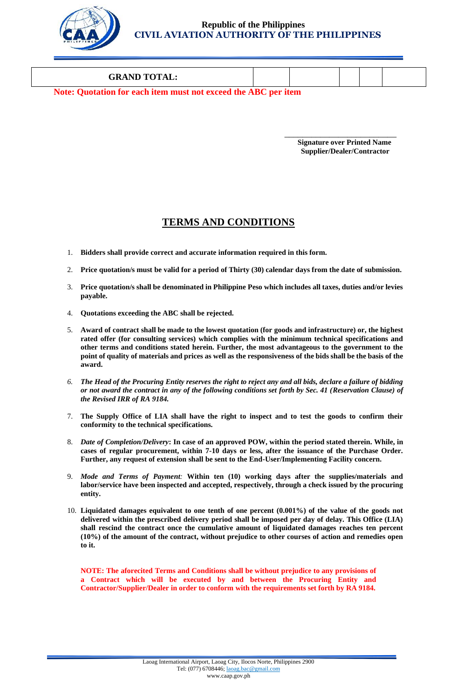

### **GRAND TOTAL:**

**Note: Quotation for each item must not exceed the ABC per item**

 $\overline{\phantom{a}}$  , and the contract of the contract of the contract of the contract of the contract of the contract of the contract of the contract of the contract of the contract of the contract of the contract of the contrac **Signature over Printed Name Supplier/Dealer/Contractor**

# **TERMS AND CONDITIONS**

- 1. **Bidders shall provide correct and accurate information required in this form.**
- 2. **Price quotation/s must be valid for a period of Thirty (30) calendar days from the date of submission.**
- 3. **Price quotation/s shall be denominated in Philippine Peso which includes all taxes, duties and/or levies payable.**
- 4. **Quotations exceeding the ABC shall be rejected.**
- 5. **Award of contract shall be made to the lowest quotation (for goods and infrastructure) or, the highest rated offer (for consulting services) which complies with the minimum technical specifications and other terms and conditions stated herein. Further, the most advantageous to the government to the point of quality of materials and prices as well as the responsiveness of the bids shall be the basis of the award.**
- *6. The Head of the Procuring Entity reserves the right to reject any and all bids, declare a failure of bidding or not award the contract in any of the following conditions set forth by Sec. 41 (Reservation Clause) of the Revised IRR of RA 9184.*
- 7. **The Supply Office of LIA shall have the right to inspect and to test the goods to confirm their conformity to the technical specifications.**
- 8. *Date of Completion/Delivery***: In case of an approved POW, within the period stated therein. While, in cases of regular procurement, within 7-10 days or less, after the issuance of the Purchase Order. Further, any request of extension shall be sent to the End-User/Implementing Facility concern.**
- 9. *Mode and Terms of Payment:* **Within ten (10) working days after the supplies/materials and labor/service have been inspected and accepted, respectively, through a check issued by the procuring entity.**
- 10. **Liquidated damages equivalent to one tenth of one percent (0.001%) of the value of the goods not delivered within the prescribed delivery period shall be imposed per day of delay. This Office (LIA) shall rescind the contract once the cumulative amount of liquidated damages reaches ten percent (10%) of the amount of the contract, without prejudice to other courses of action and remedies open to it.**

**NOTE: The aforecited Terms and Conditions shall be without prejudice to any provisions of a Contract which will be executed by and between the Procuring Entity and Contractor/Supplier/Dealer in order to conform with the requirements set forth by RA 9184.**